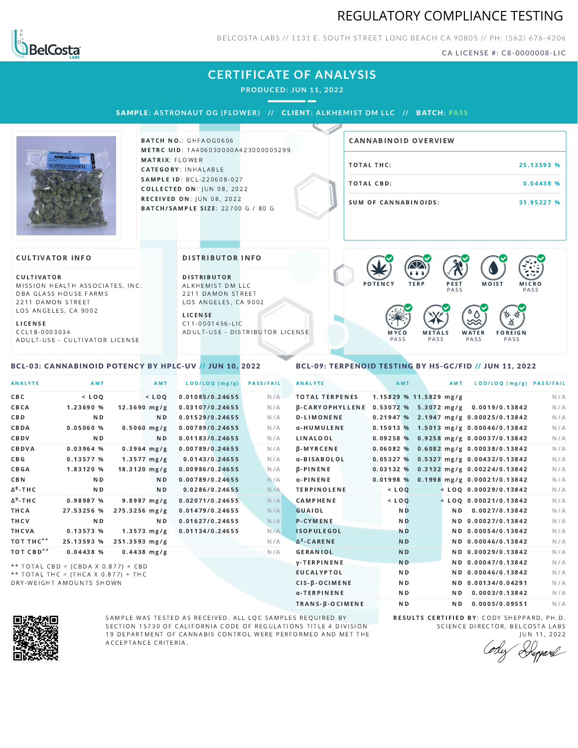# REGULATORY COMPLIANCE TESTING



BELCOSTA LABS // 1131 E. SOUTH STREET LONG BEACH CA 90805 // PH: (562) 676-4206

CA LICENSE #: C8-0000008-LIC

# **CERTIFICATE OF ANALYSIS**

**PRODUCED: JUN 11, 2022**

SAMPL E **: A STRONAUT OG ( F LOWER) //** CL I ENT**: A LKHEMI ST DM L LC //** BATCH**: PA S S**



**BATCH NO.: GHFAOG0606** METRC UID: 1A406030000A423000005299 MATRIX: FLOWER CATEGORY: INHALABLE SAMPLE ID: BCL-220608-027 **COLLECTED ON: JUN 08, 2022** RECEIVED ON: JUN 08, 2022 BATCH/SAMPLE SIZE: 22700 G / 80 G

| <b>CANNABINOID OVERVIEW</b> |            |
|-----------------------------|------------|
| TOTAL THC:                  | 25.13593 % |
| TOTAL CBD:                  | 0.04438 %  |
| SUM OF CANNABINOIDS:        | 31.95227 % |

### **CULTIVATOR INFO**

CULTIVATOR MISSION HEALTH ASSOCIATES, INC. DBA GLASS HOUSE FARMS 2211 DAMON STREET LOS ANGELES, CA 9002

<span id="page-0-0"></span>BCL-03: CANNABINOID POTENCY BY HPLC-UV // JUN 10, 2022

L I C E N S E C C L 1 8 - 0 0 0 3 0 3 4 A D U L T - U S E - C U L T I V A T O R L I CENSE

#### DISTRIBUTOR INFO

D I STRIBUTOR ALKHEMIST DM LLC 2211 DAMON STREET LOS ANGELES, CA 9002

L I C E N S E C 1 1 - 0 0 0 1 4 5 6 - L I C A D U L T - U S E - D I STRIBUTOR LICENSE



### <span id="page-0-1"></span>BCL-09: TERPENOID TESTING BY HS-GC/FID // JUN 11, 2022

| <b>ANALYTE</b>        | AMT                                                                        |                 | AMT              | LOD/LOQ (mg/g)  | <b>PASS/FAIL</b> | <b>ANALYTE</b>         | AMT                    | <b>AMT</b> | LOD/LOQ (mg/g) PASS/FAIL                |     |
|-----------------------|----------------------------------------------------------------------------|-----------------|------------------|-----------------|------------------|------------------------|------------------------|------------|-----------------------------------------|-----|
| C B C                 | $<$ LOQ                                                                    |                 | $<$ LOQ          | 0.01085/0.24655 | N/A              | <b>TOTAL TERPENES</b>  | 1.15829 % 11.5829 mg/g |            |                                         | N/A |
| CBCA                  | 1.23690 %                                                                  |                 | $12.3690$ mg/g   | 0.03107/0.24655 | N/A              | <b>B-CARYOPHYLLENE</b> |                        |            | $0.53072$ % 5.3072 mg/g 0.0019/0.13842  | N/A |
| <b>CBD</b>            | N <sub>D</sub>                                                             |                 | N <sub>D</sub>   | 0.01529/0.24655 | N/A              | <b>D-LIMONENE</b>      |                        |            | $0.21947%$ 2.1947 mg/g 0.00025/0.13842  | N/A |
| CBDA                  | 0.05060%                                                                   |                 | $0.5060$ mg/g    | 0.00789/0.24655 | N/A              | α-HUMULENE             |                        |            | $0.15013$ % 1.5013 mg/g 0.00046/0.13842 | N/A |
| CBDV                  | ND.                                                                        |                 | ND.              | 0.01183/0.24655 | N/A              | LINALOOL               |                        |            | 0.09258 % 0.9258 mg/g 0.00037/0.13842   | N/A |
| CBDVA                 | $0.03964$ %                                                                |                 | $0.3964$ mg/g    | 0.00789/0.24655 | N/A              | <b>B-MYRCENE</b>       |                        |            | 0.06082 % 0.6082 mg/g 0.00038/0.13842   | N/A |
| C B G                 | 0.13577%                                                                   |                 | $1.3577 \, mg/g$ | 0.0143/0.24655  | N/A              | α-BISABOLOL            |                        |            | 0.05327 % 0.5327 mg/g 0.00432/0.13842   | N/A |
| <b>CBGA</b>           | 1.83120 %                                                                  |                 | $18.3120$ mg/g   | 0.00986/0.24655 | N/A              | <b>B-PINENE</b>        |                        |            | $0.03132$ % 0.3132 mg/g 0.00224/0.13842 | N/A |
| CBN                   | N <sub>D</sub>                                                             |                 | N <sub>D</sub>   | 0.00789/0.24655 | N/A              | $\alpha$ -PINENE       | 0.01998%               |            | 0.1998 mg/g 0.00021/0.13842             | N/A |
| $\Delta^8$ -THC       | N <sub>D</sub>                                                             |                 | ND.              | 0.0286/0.24655  | N/A              | <b>TERPINOLENE</b>     | $<$ LOQ                |            | $<$ LOQ 0.00029/0.13842                 | N/A |
| $\Delta^9$ -THC       | 0.98987 %                                                                  |                 | $9.8987 \, mg/g$ | 0.02071/0.24655 | N/A              | <b>CAMPHENE</b>        | $<$ $LOQ$              |            | $<$ LOO 0.00021/0.13842                 | N/A |
| THCA                  | 27.53256 %                                                                 | $275.3256$ mg/g |                  | 0.01479/0.24655 | N/A              | <b>GUAIOL</b>          | N <sub>D</sub>         |            | ND 0.0027/0.13842                       | N/A |
| THCV                  | N <sub>D</sub>                                                             |                 | N <sub>D</sub>   | 0.01627/0.24655 | N/A              | <b>P-CYMENE</b>        | N <sub>D</sub>         |            | ND 0.00027/0.13842                      | N/A |
| THCVA                 | 0.13573%                                                                   |                 | $1.3573$ mg/g    | 0.01134/0.24655 | N/A              | <b>ISOPULEGOL</b>      | <b>ND</b>              |            | ND 0.00054/0.13842                      | N/A |
| TOT THC <sup>**</sup> | 25.13593 %                                                                 | $251.3593$ mg/g |                  |                 | N/A              | $\Delta^3$ -CARENE     | N <sub>D</sub>         |            | ND 0.00046/0.13842                      | N/A |
| TOT CBD <sup>**</sup> | 0.04438 %                                                                  |                 | $0.4438$ mg/g    |                 | N/A              | <b>GERANIOL</b>        | <b>ND</b>              |            | ND 0.00029/0.13842                      | N/A |
|                       |                                                                            |                 |                  |                 |                  | <b>V-TERPINENE</b>     | <b>ND</b>              |            | ND 0.00047/0.13842                      | N/A |
|                       | ** TOTAL CBD = (CBDA X 0.877) + CBD<br>** TOTAL THE = (THEA X 0 877) + THE |                 |                  |                 |                  | <b>EUCALYPTOL</b>      | N <sub>D</sub>         |            | ND 0.00046/0.13842                      | N/A |

TOTAL THC = (THCA X  $0.877$ ) + THC DRY-WEIGHT AMOUNTS SHOWN



SAMPLE WAS TESTED AS RECEIVED. ALL LQC SAMPLES REQUIRED BY SECTION 15730 OF CALIFORNIA CODE OF REGULATIONS TITLE 4 DIVISION 19 DEPARTMENT OF CANNABIS CONTROL WERE PERFORMED AND MET THE A C C E P T A N C E C R I T E R I A.

RESULTS CERTIFIED BY: CODY SHEPPARD, PH.D. SCIENCE DIRECTOR, BELCOSTA LABS

CIS-β-OCIMENE ND ND ND 0.00134/0.04291 N/A α-TERPINENE **ND ND 0.0003/0.13842** N/A TRANS-β-OCIMENE ND ND 0.0005/0.09551 N/A

JUN 11, 2022<br>Heppard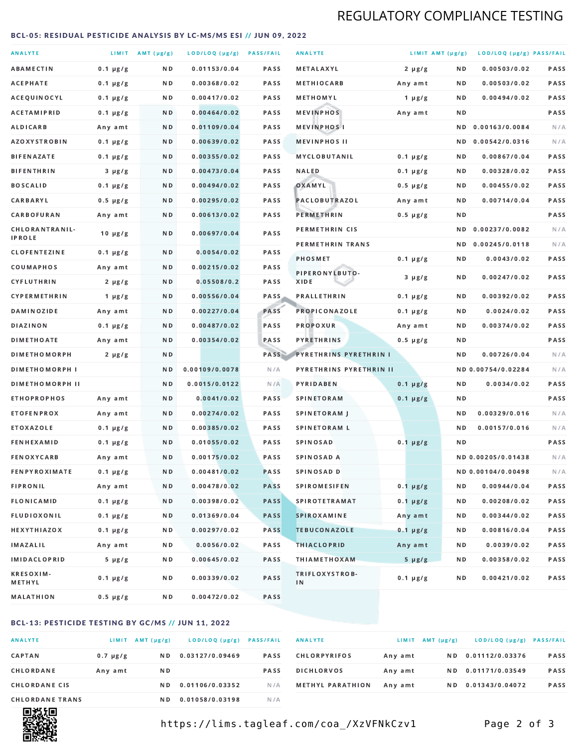# REGULATORY COMPLIANCE TESTING

### <span id="page-1-0"></span>BCL-05: RESIDUAL PESTICIDE ANALYSIS BY LC-MS/MS ESI // JUN 09, 2022

| <b>ANALYTE</b>                  |               | LIMIT AMT (µg/g) | LOD/LOQ (µg/g) PASS/FAIL |             | <b>ANALYTE</b>                | LIMIT AMT (µg/g) |     | LOD/LOQ (µg/g) PASS/FAIL |             |
|---------------------------------|---------------|------------------|--------------------------|-------------|-------------------------------|------------------|-----|--------------------------|-------------|
| <b>ABAMECTIN</b>                | $0.1 \mu g/g$ | ND.              | 0.01153/0.04             | <b>PASS</b> | METALAXYL                     | $2 \mu g/g$      | N D | 0.00503/0.02             | PASS        |
| ACEPHATE                        | $0.1 \mu g/g$ | N D              | 0.00368/0.02             | <b>PASS</b> | <b>METHIOCARB</b>             | Any amt          | N D | 0.00503/0.02             | <b>PASS</b> |
| ACEQUINOCYL                     | $0.1 \mu g/g$ | N D              | 0.00417/0.02             | PASS        | METHOMYL                      | 1 $\mu$ g/g      | N D | 0.00494/0.02             | PASS        |
| <b>ACETAMIPRID</b>              | $0.1 \mu g/g$ | ND.              | 0.00464/0.02             | <b>PASS</b> | <b>MEVINPHOS</b>              | Any amt          | N D |                          | PASS        |
| <b>ALDICARB</b>                 | Any amt       | N D              | 0.01109/0.04             | <b>PASS</b> | <b>MEVINPHOSI</b>             |                  | N D | 0.00163/0.0084           | N/A         |
| <b>AZOXYSTROBIN</b>             | $0.1 \mu g/g$ | N D              | 0.00639/0.02             | <b>PASS</b> | <b>MEVINPHOS II</b>           |                  | ND. | 0.00542/0.0316           | N/A         |
| <b>BIFENAZATE</b>               | $0.1 \mu g/g$ | N D              | 0.00355/0.02             | <b>PASS</b> | <b>MYCLOBUTANIL</b>           | $0.1 \mu g/g$    | N D | 0.00867/0.04             | PASS        |
| <b>BIFENTHRIN</b>               | $3 \mu g/g$   | N D              | 0.00473/0.04             | <b>PASS</b> | <b>NALED</b>                  | $0.1 \mu g/g$    | N D | 0.00328/0.02             | PASS        |
| <b>BOSCALID</b>                 | $0.1 \mu g/g$ | ND.              | 0.00494/0.02             | PASS        | OXAMYL                        | $0.5 \mu g/g$    | N D | 0.00455/0.02             | <b>PASS</b> |
| CARBARYL                        | $0.5 \mu g/g$ | N D              | 0.00295/0.02             | PASS        | PACLOBUTRAZOL                 | Any amt          | N D | 0.00714/0.04             | PASS        |
| CARBOFURAN                      | Any amt       | N D              | 0.00613/0.02             | <b>PASS</b> | PERMETHRIN                    | $0.5 \mu g/g$    | N D |                          | PASS        |
| CHLORANTRANIL-<br><b>IPROLE</b> | $10 \mu g/g$  | N D              | 0.00697/0.04             | PASS        | PERMETHRIN CIS                |                  | N D | 0.00237/0.0082           | N/A         |
| <b>CLOFENTEZINE</b>             | $0.1 \mu g/g$ | ND               | 0.0054/0.02              | <b>PASS</b> | PERMETHRIN TRANS              |                  |     | ND 0.00245/0.0118        | N/A         |
| COUMAPHOS                       | Any amt       | N D              | 0.00215/0.02             | <b>PASS</b> | <b>PHOSMET</b>                | $0.1 \mu g/g$    | N D | 0.0043/0.02              | PASS        |
| CYFLUTHRIN                      | $2 \mu g/g$   | ND.              | 0.05508/0.2              | <b>PASS</b> | PIPERONYLBUTO-<br>XIDE        | $3 \mu g/g$      | N D | 0.00247/0.02             | PASS        |
| <b>CYPERMETHRIN</b>             | 1 $\mu$ g/g   | N D              | 0.00556/0.04             | <b>PASS</b> | <b>PRALLETHRIN</b>            | $0.1 \mu g/g$    | N D | 0.00392/0.02             | PASS        |
| <b>DAMINOZIDE</b>               | Any amt       | ND.              | 0.00227/0.04             | PASS        | PROPICONAZOLE                 | $0.1 \mu g/g$    | N D | 0.0024/0.02              | PASS        |
| <b>DIAZINON</b>                 | $0.1 \mu g/g$ | N D              | 0.00487/0.02             | <b>PASS</b> | <b>PROPOXUR</b>               | Any amt          | N D | 0.00374/0.02             | PASS        |
| <b>DIMETHOATE</b>               | Any amt       | N D              | 0.00354/0.02             | PASS        | <b>PYRETHRINS</b>             | $0.5 \mu g/g$    | N D |                          | PASS        |
| <b>DIMETHOMORPH</b>             | $2 \mu g/g$   | N D              |                          | PASS        | <b>PYRETHRINS PYRETHRIN I</b> |                  | N D | 0.00726/0.04             | N/A         |
| <b>DIMETHOMORPH I</b>           |               | N D              | 0.00109/0.0078           | N/A         | PYRETHRINS PYRETHRIN II       |                  |     | ND 0.00754/0.02284       | N/A         |
| <b>DIMETHOMORPH II</b>          |               | ND               | 0.0015/0.0122            | N/A         | PYRIDABEN                     | $0.1 \mu g/g$    | N D | 0.0034/0.02              | PASS        |
| <b>ETHOPROPHOS</b>              | Any amt       | ND.              | 0.0041/0.02              | PASS        | <b>SPINETORAM</b>             | $0.1 \mu g/g$    | N D |                          | PASS        |
| <b>ETOFENPROX</b>               | Any amt       | N D              | 0.00274/0.02             | <b>PASS</b> | SPINETORAM J                  |                  | N D | 0.00329/0.016            | N/A         |
| <b>ETOXAZOLE</b>                | $0.1 \mu g/g$ | ND.              | 0.00385/0.02             | <b>PASS</b> | <b>SPINETORAM L</b>           |                  | N D | 0.00157/0.016            | N/A         |
| <b>FENHEXAMID</b>               | $0.1 \mu g/g$ | N D              | 0.01055/0.02             | PASS        | <b>SPINOSAD</b>               | $0.1 \mu g/g$    | N D |                          | PASS        |
| <b>FENOXYCARB</b>               | Any amt       | N D              | 0.00175/0.02             | <b>PASS</b> | <b>SPINOSAD A</b>             |                  |     | ND 0.00205/0.01438       | N/A         |
| <b>FENPYROXIMATE</b>            | $0.1 \mu g/g$ | N D              | 0.00481/0.02             | <b>PASS</b> | SPINOSAD D                    |                  |     | ND 0.00104/0.00498       | N/A         |
| <b>FIPRONIL</b>                 | Any amt       | N D              | 0.00478/0.02             | <b>PASS</b> | <b>SPIROMESIFEN</b>           | $0.1 \mu g/g$    | N D | 0.00944/0.04             | PASS        |
| <b>FLONICAMID</b>               | $0.1 \mu g/g$ | N D              | 0.00398/0.02             | <b>PASS</b> | <b>SPIROTETRAMAT</b>          | $0.1 \mu g/g$    | N D | 0.00208/0.02             | PASS        |
| FLUDIOXONIL                     | $0.1 \mu g/g$ | N D              | 0.01369/0.04             | <b>PASS</b> | SPIROXAMINE                   | Any amt          | N D | 0.00344/0.02             | PASS        |
| <b>HEXYTHIAZOX</b>              | $0.1 \mu g/g$ | N D              | 0.00297/0.02             | PASS        | <b>TEBUCONAZOLE</b>           | $0.1 \mu g/g$    | N D | 0.00816/0.04             | PASS        |
| IMAZALIL                        | Any amt       | N D              | 0.0056/0.02              | PASS        | <b>THIACLOPRID</b>            | Any amt          | N D | 0.0039/0.02              | PASS        |
| <b>IMIDACLOPRID</b>             | $5 \mu g/g$   | N D              | 0.00645/0.02             | PASS        | <b>THIAMETHOXAM</b>           | $5 \mu g/g$      | N D | 0.00358/0.02             | PASS        |
| <b>KRESOXIM-</b><br>METHYL      | $0.1 \mu g/g$ | N D              | 0.00339/0.02             | PASS        | TRIFLOXYSTROB-<br>IN          | $0.1 \mu g/g$    | N D | 0.00421/0.02             | PASS        |
| <b>MALATHION</b>                | 0.5 µg/g      | N D              | 0.00472/0.02             | PASS        |                               |                  |     |                          |             |

# BCL-13: PESTICIDE TESTING BY GC/MS // JUN 11, 2022

| <b>ANALYTE</b>         | <b>LIMIT</b>  | $AMT(\mu g/g)$ | LOD/LOQ (µg/g)  | <b>PASS/FAIL</b> |
|------------------------|---------------|----------------|-----------------|------------------|
| <b>CAPTAN</b>          | $0.7 \mu g/g$ | N D            | 0.03127/0.09469 | <b>PASS</b>      |
| <b>CHLORDANE</b>       | Any amt       | N D            |                 | <b>PASS</b>      |
| <b>CHLORDANE CIS</b>   |               | N D            | 0.01106/0.03352 | N / A            |
| <b>CHLORDANE TRANS</b> |               | N D            | 0.01058/0.03198 | N / A            |

| <b>ANALYTE</b>          | LIMIT   | $AMT(\mu g/g)$ | LOD/LOQ (µg/g)  | <b>PASS/FAIL</b> |
|-------------------------|---------|----------------|-----------------|------------------|
| <b>CHLORPYRIFOS</b>     | Any amt | N D.           | 0.01112/0.03376 | <b>PASS</b>      |
| <b>DICHLORVOS</b>       | Any amt | N D            | 0.01171/0.03549 | <b>PASS</b>      |
| <b>METHYL PARATHION</b> | Any amt | N D            | 0.01343/0.04072 | <b>PASS</b>      |